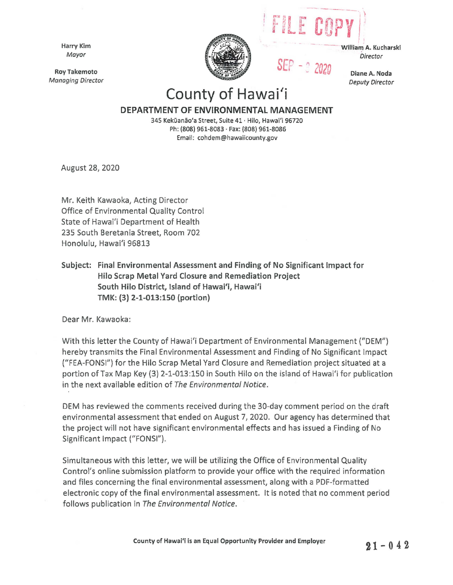Harry Kim Mayor

Roy Takemoto Managing Director



- · ---·· William· A. Kucharski **Director** 

 $-$  .

 $|1-200P|$ 

 $SEP - 22020$ 

Diane A. Noda Deputy Director

## County of Hawai'i

## **DEPARTMENT OF ENVIRONMENTAL MANAGEMENT**

345 Kekūanão'a Street, Suite 41 · Hilo, Hawai'i 96720 Ph: **(808) 961-8083** · **Fax: (808) 961-8086**  Email: cohdem@hawaiicounty.gov

August 28, 2020

Mr. Keith Kawaoka, Acting Director Office of Environmental Quality Control State of Hawai'i Department of Health 235 South Beretania Street, Room 702 Honolulu, Hawai'i 96813

**Subject: Final Environmental Assessment and Finding of No Significant Impact for Hilo Scrap Metal Yard Closure and Remediation Project South Hilo District, Island of Hawai'i, Hawai'i TMK: (3) 2-1-013:150 (portion)** 

Dear Mr. Kawaoka:

With this letter the County of Hawai'i Department of Environmental Management ("DEM") hereby transmits the Final Environmental Assessment and Finding of No Significant Impact ("FEA-FONSI") for the Hilo Scrap Metal Yard Closure and Remediation project situated at a portion of Tax Map Key (3) 2-1-013:150 in South Hilo on the island of Hawai'i for publication in the next available edition of The Environmental Notice.

DEM has reviewed the comments received during the 30-day comment period on the draft environmental assessment that ended on August 7, 2020. Our agency has determined that the project will not have significant environmental effects and has issued a Finding of No Significant Impact ("FONS!").

Simultaneous with this letter, we will be utilizing the Office of Environmental Quality Control's online submission platform to provide your office with the required information and files concerning the final environmental assessment, along with a PDF-formatted electronic copy of the final environmental assessment. It is noted that no comment period follows publication in The Environmental Notice.